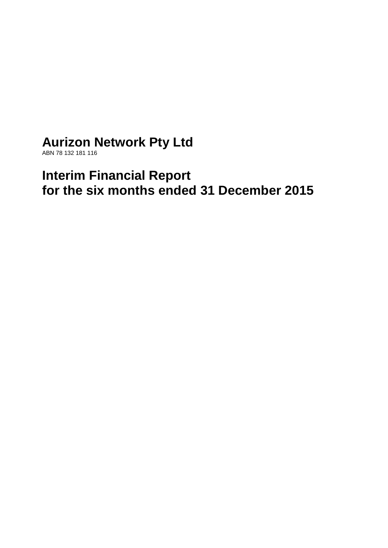# **Aurizon Network Pty Ltd**

ABN 78 132 181 116

# **Interim Financial Report for the six months ended 31 December 2015**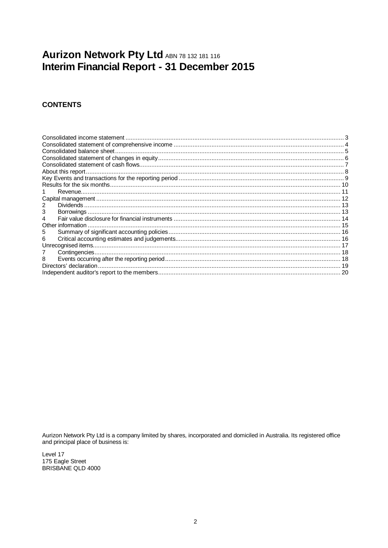## Aurizon Network Pty Ltd ABN 78 132 181 116 Interim Financial Report - 31 December 2015

## **CONTENTS**

| 5 |  |
|---|--|
|   |  |
|   |  |
|   |  |
| 8 |  |
|   |  |
|   |  |

Aurizon Network Pty Ltd is a company limited by shares, incorporated and domiciled in Australia. Its registered office and principal place of business is:

Level 17 175 Eagle Street BRISBANE QLD 4000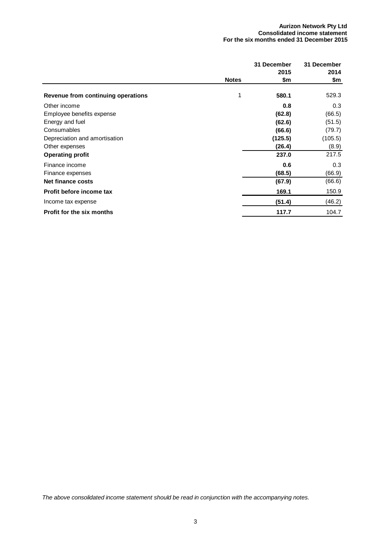#### **Aurizon Network Pty Ltd Consolidated income statement For the six months ended 31 December 2015**

<span id="page-2-0"></span>

|                                    |              | 31 December | 31 December |
|------------------------------------|--------------|-------------|-------------|
|                                    |              | 2015        | 2014        |
|                                    | <b>Notes</b> | \$m         | \$m         |
| Revenue from continuing operations |              | 580.1       | 529.3       |
| Other income                       |              | 0.8         | 0.3         |
| Employee benefits expense          |              | (62.8)      | (66.5)      |
| Energy and fuel                    |              | (62.6)      | (51.5)      |
| Consumables                        |              | (66.6)      | (79.7)      |
| Depreciation and amortisation      |              | (125.5)     | (105.5)     |
| Other expenses                     |              | (26.4)      | (8.9)       |
| <b>Operating profit</b>            |              | 237.0       | 217.5       |
| Finance income                     |              | 0.6         | 0.3         |
| Finance expenses                   |              | (68.5)      | (66.9)      |
| Net finance costs                  |              | (67.9)      | (66.6)      |
| Profit before income tax           |              | 169.1       | 150.9       |
| Income tax expense                 |              | (51.4)      | (46.2)      |
| Profit for the six months          |              | 117.7       | 104.7       |

*The above consolidated income statement should be read in conjunction with the accompanying notes.*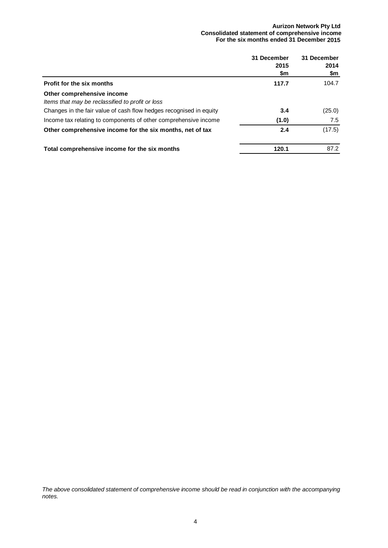#### **Aurizon Network Pty Ltd Consolidated statement of comprehensive income For the six months ended 31 December 2015**

<span id="page-3-0"></span>

|                                                                                | 31 December<br>2015<br>\$m | 31 December<br>2014<br>\$m |
|--------------------------------------------------------------------------------|----------------------------|----------------------------|
| <b>Profit for the six months</b>                                               | 117.7                      | 104.7                      |
| Other comprehensive income<br>Items that may be reclassified to profit or loss |                            |                            |
| Changes in the fair value of cash flow hedges recognised in equity             | 3.4                        | (25.0)                     |
| Income tax relating to components of other comprehensive income                | (1.0)                      | 7.5                        |
| Other comprehensive income for the six months, net of tax                      | 2.4                        | (17.5)                     |
| Total comprehensive income for the six months                                  | 120.1                      | 87.2                       |

*The above consolidated statement of comprehensive income should be read in conjunction with the accompanying notes.*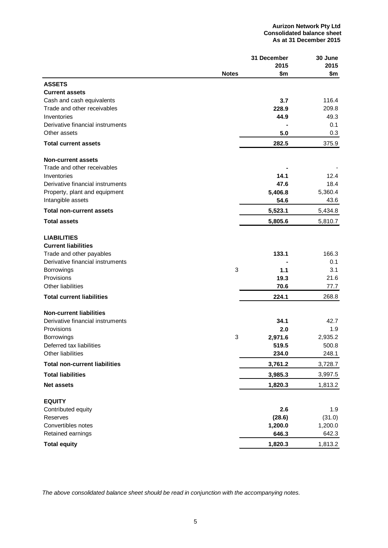<span id="page-4-0"></span>

|                                      |              | 31 December | 30 June |
|--------------------------------------|--------------|-------------|---------|
|                                      |              | 2015        | 2015    |
|                                      | <b>Notes</b> | \$m         | \$m     |
| <b>ASSETS</b>                        |              |             |         |
| <b>Current assets</b>                |              |             |         |
| Cash and cash equivalents            |              | 3.7         | 116.4   |
| Trade and other receivables          |              | 228.9       | 209.8   |
| Inventories                          |              | 44.9        | 49.3    |
| Derivative financial instruments     |              |             | 0.1     |
| Other assets                         |              | 5.0         | 0.3     |
| <b>Total current assets</b>          |              | 282.5       | 375.9   |
| <b>Non-current assets</b>            |              |             |         |
| Trade and other receivables          |              |             |         |
| Inventories                          |              | 14.1        | 12.4    |
| Derivative financial instruments     |              | 47.6        | 18.4    |
| Property, plant and equipment        |              | 5,406.8     | 5,360.4 |
| Intangible assets                    |              | 54.6        | 43.6    |
| <b>Total non-current assets</b>      |              | 5,523.1     | 5,434.8 |
| <b>Total assets</b>                  |              | 5,805.6     | 5,810.7 |
|                                      |              |             |         |
| <b>LIABILITIES</b>                   |              |             |         |
| <b>Current liabilities</b>           |              |             |         |
| Trade and other payables             |              | 133.1       | 166.3   |
| Derivative financial instruments     |              |             | 0.1     |
| <b>Borrowings</b>                    | 3            | 1.1         | 3.1     |
| Provisions                           |              | 19.3        | 21.6    |
| Other liabilities                    |              | 70.6        | 77.7    |
| <b>Total current liabilities</b>     |              | 224.1       | 268.8   |
| <b>Non-current liabilities</b>       |              |             |         |
| Derivative financial instruments     |              | 34.1        | 42.7    |
| Provisions                           |              | 2.0         | 1.9     |
| Borrowings                           | 3            | 2,971.6     | 2,935.2 |
| Deferred tax liabilities             |              | 519.5       | 500.8   |
| Other liabilities                    |              | 234.0       | 248.1   |
| <b>Total non-current liabilities</b> |              | 3,761.2     | 3,728.7 |
| <b>Total liabilities</b>             |              | 3,985.3     | 3,997.5 |
| <b>Net assets</b>                    |              | 1,820.3     | 1,813.2 |
| <b>EQUITY</b>                        |              |             |         |
| Contributed equity                   |              | 2.6         | 1.9     |
| Reserves                             |              | (28.6)      | (31.0)  |
| Convertibles notes                   |              | 1,200.0     | 1,200.0 |
| Retained earnings                    |              | 646.3       | 642.3   |
| <b>Total equity</b>                  |              | 1,820.3     | 1,813.2 |

*The above consolidated balance sheet should be read in conjunction with the accompanying notes.*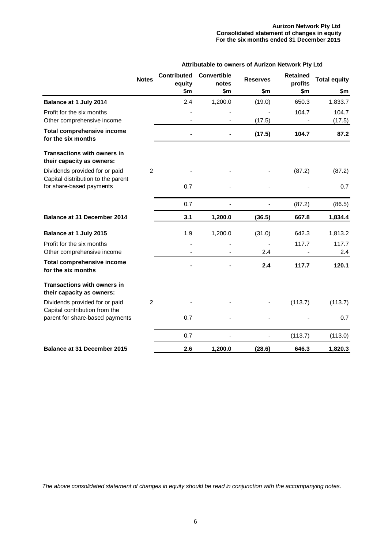#### **Aurizon Network Pty Ltd Consolidated statement of changes in equity For the six months ended 31 December 2015**

| Attributable to owners of Aurizon Network Pty Ltd |  |  |
|---------------------------------------------------|--|--|
|---------------------------------------------------|--|--|

<span id="page-5-0"></span>

|                                                                      | <b>Notes</b>   | <b>Contributed</b><br>equity | <b>Convertible</b><br>notes | <b>Reserves</b> | <b>Retained</b><br>profits | <b>Total equity</b> |
|----------------------------------------------------------------------|----------------|------------------------------|-----------------------------|-----------------|----------------------------|---------------------|
|                                                                      |                | \$m                          | \$m                         | \$m             | \$m                        | \$m                 |
| Balance at 1 July 2014                                               |                | 2.4                          | 1,200.0                     | (19.0)          | 650.3                      | 1,833.7             |
| Profit for the six months<br>Other comprehensive income              |                |                              |                             | (17.5)          | 104.7                      | 104.7<br>(17.5)     |
| <b>Total comprehensive income</b><br>for the six months              |                |                              |                             | (17.5)          | 104.7                      | 87.2                |
| <b>Transactions with owners in</b><br>their capacity as owners:      |                |                              |                             |                 |                            |                     |
| Dividends provided for or paid<br>Capital distribution to the parent | 2              |                              |                             |                 | (87.2)                     | (87.2)              |
| for share-based payments                                             |                | 0.7                          |                             |                 |                            | 0.7                 |
|                                                                      |                | 0.7                          |                             |                 | (87.2)                     | (86.5)              |
| Balance at 31 December 2014                                          |                | 3.1                          | 1,200.0                     | (36.5)          | 667.8                      | 1,834.4             |
| Balance at 1 July 2015                                               |                | 1.9                          | 1,200.0                     | (31.0)          | 642.3                      | 1,813.2             |
| Profit for the six months<br>Other comprehensive income              |                |                              |                             | 2.4             | 117.7                      | 117.7<br>2.4        |
| <b>Total comprehensive income</b><br>for the six months              |                |                              |                             | 2.4             | 117.7                      | 120.1               |
| <b>Transactions with owners in</b><br>their capacity as owners:      |                |                              |                             |                 |                            |                     |
| Dividends provided for or paid<br>Capital contribution from the      | $\overline{2}$ |                              |                             |                 | (113.7)                    | (113.7)             |
| parent for share-based payments                                      |                | 0.7                          |                             |                 |                            | 0.7                 |
|                                                                      |                | 0.7                          |                             | $\overline{a}$  | (113.7)                    | (113.0)             |
| <b>Balance at 31 December 2015</b>                                   |                | 2.6                          | 1,200.0                     | (28.6)          | 646.3                      | 1,820.3             |

*The above consolidated statement of changes in equity should be read in conjunction with the accompanying notes.*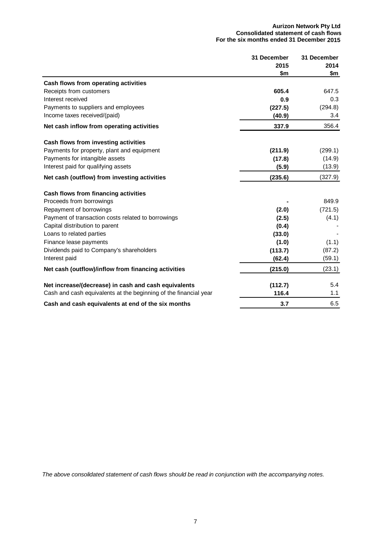#### **Aurizon Network Pty Ltd Consolidated statement of cash flows For the six months ended 31 December 2015**

<span id="page-6-0"></span>

|                                                                  | 31 December | 31 December |
|------------------------------------------------------------------|-------------|-------------|
|                                                                  | 2015        | 2014        |
|                                                                  | \$m         | \$m         |
| Cash flows from operating activities                             |             |             |
| Receipts from customers                                          | 605.4       | 647.5       |
| Interest received                                                | 0.9         | 0.3         |
| Payments to suppliers and employees                              | (227.5)     | (294.8)     |
| Income taxes received/(paid)                                     | (40.9)      | 3.4         |
| Net cash inflow from operating activities                        | 337.9       | 356.4       |
| Cash flows from investing activities                             |             |             |
| Payments for property, plant and equipment                       | (211.9)     | (299.1)     |
| Payments for intangible assets                                   | (17.8)      | (14.9)      |
| Interest paid for qualifying assets                              | (5.9)       | (13.9)      |
| Net cash (outflow) from investing activities                     | (235.6)     | (327.9)     |
| Cash flows from financing activities                             |             |             |
| Proceeds from borrowings                                         |             | 849.9       |
| Repayment of borrowings                                          | (2.0)       | (721.5)     |
| Payment of transaction costs related to borrowings               | (2.5)       | (4.1)       |
| Capital distribution to parent                                   | (0.4)       |             |
| Loans to related parties                                         | (33.0)      |             |
| Finance lease payments                                           | (1.0)       | (1.1)       |
| Dividends paid to Company's shareholders                         | (113.7)     | (87.2)      |
| Interest paid                                                    | (62.4)      | (59.1)      |
| Net cash (outflow)/inflow from financing activities              | (215.0)     | (23.1)      |
| Net increase/(decrease) in cash and cash equivalents             | (112.7)     | 5.4         |
| Cash and cash equivalents at the beginning of the financial year | 116.4       | 1.1         |
| Cash and cash equivalents at end of the six months               | 3.7         | 6.5         |

*The above consolidated statement of cash flows should be read in conjunction with the accompanying notes.*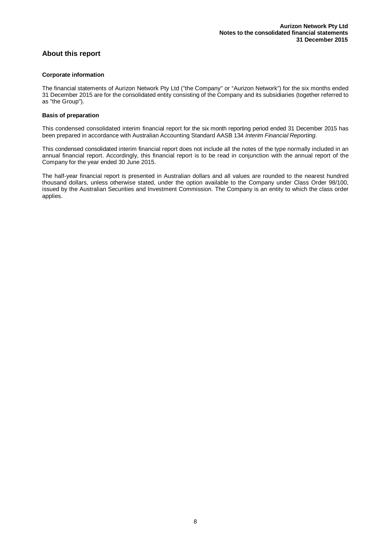## <span id="page-7-0"></span>**About this report**

#### **Corporate information**

The financial statements of Aurizon Network Pty Ltd ("the Company" or "Aurizon Network") for the six months ended 31 December 2015 are for the consolidated entity consisting of the Company and its subsidiaries (together referred to as "the Group").

#### **Basis of preparation**

This condensed consolidated interim financial report for the six month reporting period ended 31 December 2015 has been prepared in accordance with Australian Accounting Standard AASB 134 *Interim Financial Reporting*.

This condensed consolidated interim financial report does not include all the notes of the type normally included in an annual financial report. Accordingly, this financial report is to be read in conjunction with the annual report of the Company for the year ended 30 June 2015.

The half-year financial report is presented in Australian dollars and all values are rounded to the nearest hundred thousand dollars, unless otherwise stated, under the option available to the Company under Class Order 98/100, issued by the Australian Securities and Investment Commission. The Company is an entity to which the class order applies.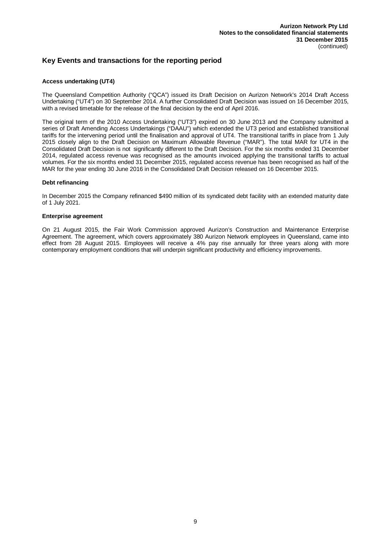### <span id="page-8-0"></span>**Key Events and transactions for the reporting period**

#### **Access undertaking (UT4)**

The Queensland Competition Authority ("QCA") issued its Draft Decision on Aurizon Network's 2014 Draft Access Undertaking ("UT4") on 30 September 2014. A further Consolidated Draft Decision was issued on 16 December 2015, with a revised timetable for the release of the final decision by the end of April 2016.

The original term of the 2010 Access Undertaking ("UT3") expired on 30 June 2013 and the Company submitted a series of Draft Amending Access Undertakings ("DAAU") which extended the UT3 period and established transitional tariffs for the intervening period until the finalisation and approval of UT4. The transitional tariffs in place from 1 July 2015 closely align to the Draft Decision on Maximum Allowable Revenue ("MAR"). The total MAR for UT4 in the Consolidated Draft Decision is not significantly different to the Draft Decision. For the six months ended 31 December 2014, regulated access revenue was recognised as the amounts invoiced applying the transitional tariffs to actual volumes. For the six months ended 31 December 2015, regulated access revenue has been recognised as half of the MAR for the year ending 30 June 2016 in the Consolidated Draft Decision released on 16 December 2015.

#### **Debt refinancing**

In December 2015 the Company refinanced \$490 million of its syndicated debt facility with an extended maturity date of 1 July 2021.

#### **Enterprise agreement**

On 21 August 2015, the Fair Work Commission approved Aurizon's Construction and Maintenance Enterprise Agreement. The agreement, which covers approximately 380 Aurizon Network employees in Queensland, came into effect from 28 August 2015. Employees will receive a 4% pay rise annually for three years along with more contemporary employment conditions that will underpin significant productivity and efficiency improvements.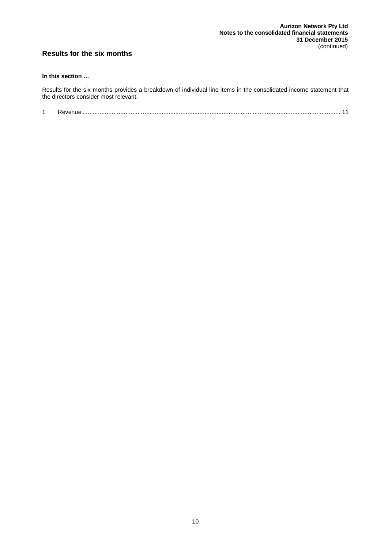## <span id="page-9-0"></span>**Results for the six months**

#### **In this section …**

Results for the six months provides a breakdown of individual line items in the consolidated income statement that the directors consider most relevant.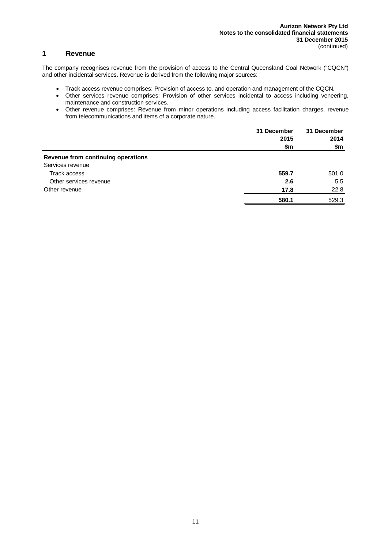## <span id="page-10-0"></span>**1 Revenue**

The company recognises revenue from the provision of access to the Central Queensland Coal Network ("CQCN") and other incidental services. Revenue is derived from the following major sources:

- Track access revenue comprises: Provision of access to, and operation and management of the CQCN.
- Other services revenue comprises: Provision of other services incidental to access including veneering, maintenance and construction services.
- Other revenue comprises: Revenue from minor operations including access facilitation charges, revenue from telecommunications and items of a corporate nature.

|                                    | 31 December<br>2015<br>\$m | 31 December<br>2014<br>\$m |
|------------------------------------|----------------------------|----------------------------|
| Revenue from continuing operations |                            |                            |
| Services revenue                   |                            |                            |
| Track access                       | 559.7                      | 501.0                      |
| Other services revenue             | 2.6                        | 5.5                        |
| Other revenue                      | 17.8                       | 22.8                       |
|                                    | 580.1                      | 529.3                      |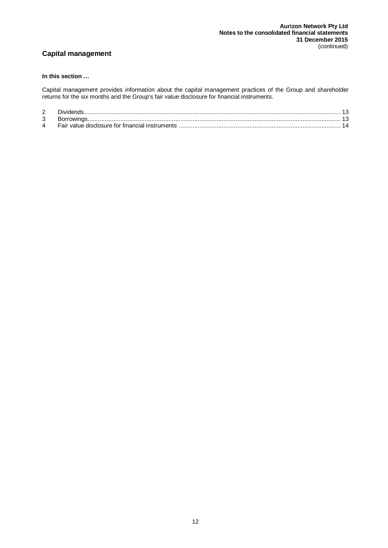## <span id="page-11-0"></span>**Capital management**

#### **In this section …**

Capital management provides information about the capital management practices of the Group and shareholder returns for the six months and the Group's fair value disclosure for financial instruments.

| 3 |  |
|---|--|
| 4 |  |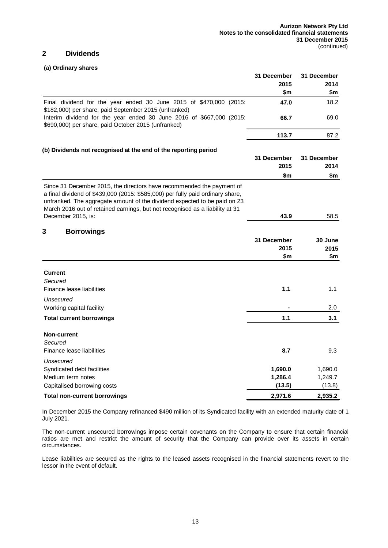## <span id="page-12-0"></span>**2 Dividends**

#### **(a) Ordinary shares**

<span id="page-12-1"></span>

|                                                                                                                                                                                                                                                                                                                                            | 31 December | 31 December |
|--------------------------------------------------------------------------------------------------------------------------------------------------------------------------------------------------------------------------------------------------------------------------------------------------------------------------------------------|-------------|-------------|
|                                                                                                                                                                                                                                                                                                                                            | 2015        | 2014        |
|                                                                                                                                                                                                                                                                                                                                            | \$m         | \$m         |
| Final dividend for the year ended 30 June 2015 of \$470,000 (2015:<br>\$182,000) per share, paid September 2015 (unfranked)                                                                                                                                                                                                                | 47.0        | 18.2        |
| Interim dividend for the year ended 30 June 2016 of \$667,000 (2015:<br>\$690,000) per share, paid October 2015 (unfranked)                                                                                                                                                                                                                | 66.7        | 69.0        |
|                                                                                                                                                                                                                                                                                                                                            | 113.7       | 87.2        |
| (b) Dividends not recognised at the end of the reporting period                                                                                                                                                                                                                                                                            |             |             |
|                                                                                                                                                                                                                                                                                                                                            | 31 December | 31 December |
|                                                                                                                                                                                                                                                                                                                                            | 2015        | 2014        |
|                                                                                                                                                                                                                                                                                                                                            | \$m         | \$m         |
| Since 31 December 2015, the directors have recommended the payment of<br>a final dividend of \$439,000 (2015: \$585,000) per fully paid ordinary share,<br>unfranked. The aggregate amount of the dividend expected to be paid on 23<br>March 2016 out of retained earnings, but not recognised as a liability at 31<br>December 2015, is: | 43.9        | 58.5        |
|                                                                                                                                                                                                                                                                                                                                            |             |             |
| 3<br><b>Borrowings</b>                                                                                                                                                                                                                                                                                                                     |             |             |
|                                                                                                                                                                                                                                                                                                                                            | 31 December | 30 June     |
|                                                                                                                                                                                                                                                                                                                                            | 2015        | 2015        |
|                                                                                                                                                                                                                                                                                                                                            | \$m         | \$m         |
| <b>Current</b>                                                                                                                                                                                                                                                                                                                             |             |             |
| Secured                                                                                                                                                                                                                                                                                                                                    |             |             |
| Finance lease liabilities                                                                                                                                                                                                                                                                                                                  | 1.1         | 1.1         |
| Unsecured                                                                                                                                                                                                                                                                                                                                  |             |             |
| Working capital facility                                                                                                                                                                                                                                                                                                                   |             | 2.0         |
| <b>Total current borrowings</b>                                                                                                                                                                                                                                                                                                            | 1.1         | 3.1         |
| Non-current                                                                                                                                                                                                                                                                                                                                |             |             |
| Secured                                                                                                                                                                                                                                                                                                                                    |             |             |
| Finance lease liabilities                                                                                                                                                                                                                                                                                                                  | 8.7         | 9.3         |
| Unsecured                                                                                                                                                                                                                                                                                                                                  |             |             |
| Syndicated debt facilities                                                                                                                                                                                                                                                                                                                 | 1,690.0     | 1,690.0     |
| Medium term notes                                                                                                                                                                                                                                                                                                                          | 1,286.4     | 1,249.7     |
| Capitalised borrowing costs                                                                                                                                                                                                                                                                                                                | (13.5)      | (13.8)      |
| Total non-current borrowings                                                                                                                                                                                                                                                                                                               | 2,971.6     | 2,935.2     |

In December 2015 the Company refinanced \$490 million of its Syndicated facility with an extended maturity date of 1 July 2021.

The non-current unsecured borrowings impose certain covenants on the Company to ensure that certain financial ratios are met and restrict the amount of security that the Company can provide over its assets in certain circumstances.

Lease liabilities are secured as the rights to the leased assets recognised in the financial statements revert to the lessor in the event of default.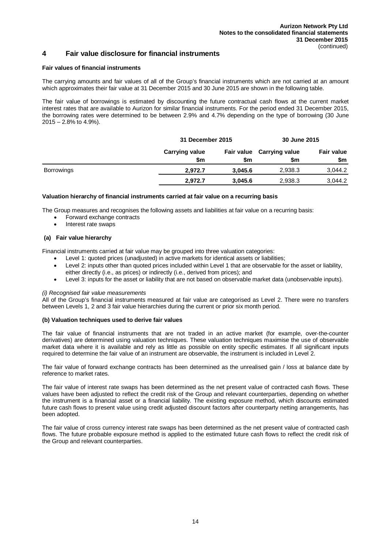## <span id="page-13-0"></span>**4 Fair value disclosure for financial instruments**

#### **Fair values of financial instruments**

The carrying amounts and fair values of all of the Group's financial instruments which are not carried at an amount which approximates their fair value at 31 December 2015 and 30 June 2015 are shown in the following table.

The fair value of borrowings is estimated by discounting the future contractual cash flows at the current market interest rates that are available to Aurizon for similar financial instruments. For the period ended 31 December 2015, the borrowing rates were determined to be between 2.9% and 4.7% depending on the type of borrowing (30 June  $2015 - 2.8\%$  to 4.9%).

|                   |                              | 31 December 2015 |                                  | 30 June 2015             |
|-------------------|------------------------------|------------------|----------------------------------|--------------------------|
|                   | <b>Carrying value</b><br>\$m | \$m              | Fair value Carrying value<br>\$m | <b>Fair value</b><br>\$m |
| <b>Borrowings</b> | 2.972.7                      | 3.045.6          | 2.938.3                          | 3,044.2                  |
|                   | 2.972.7                      | 3,045.6          | 2,938.3                          | 3,044.2                  |

#### **Valuation hierarchy of financial instruments carried at fair value on a recurring basis**

The Group measures and recognises the following assets and liabilities at fair value on a recurring basis:

- Forward exchange contracts
- Interest rate swaps

#### **(a) Fair value hierarchy**

Financial instruments carried at fair value may be grouped into three valuation categories:

- Level 1: quoted prices (unadjusted) in active markets for identical assets or liabilities;
- Level 2: inputs other than quoted prices included within Level 1 that are observable for the asset or liability, either directly (i.e., as prices) or indirectly (i.e., derived from prices); and
- Level 3: inputs for the asset or liability that are not based on observable market data (unobservable inputs).

#### *(i) Recognised fair value measurements*

All of the Group's financial instruments measured at fair value are categorised as Level 2. There were no transfers between Levels 1, 2 and 3 fair value hierarchies during the current or prior six month period.

#### **(b) Valuation techniques used to derive fair values**

The fair value of financial instruments that are not traded in an active market (for example, over-the-counter derivatives) are determined using valuation techniques. These valuation techniques maximise the use of observable market data where it is available and rely as little as possible on entity specific estimates. If all significant inputs required to determine the fair value of an instrument are observable, the instrument is included in Level 2.

The fair value of forward exchange contracts has been determined as the unrealised gain / loss at balance date by reference to market rates.

The fair value of interest rate swaps has been determined as the net present value of contracted cash flows. These values have been adjusted to reflect the credit risk of the Group and relevant counterparties, depending on whether the instrument is a financial asset or a financial liability. The existing exposure method, which discounts estimated future cash flows to present value using credit adjusted discount factors after counterparty netting arrangements, has been adopted.

The fair value of cross currency interest rate swaps has been determined as the net present value of contracted cash flows. The future probable exposure method is applied to the estimated future cash flows to reflect the credit risk of the Group and relevant counterparties.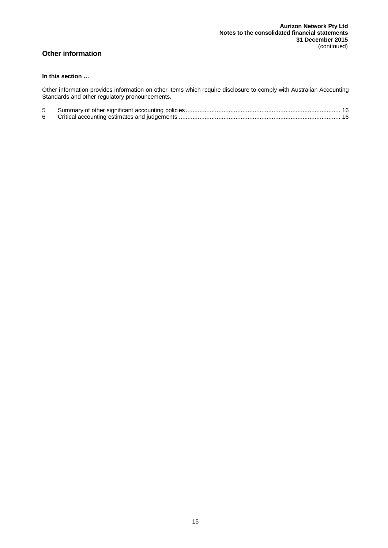## <span id="page-14-0"></span>**Other information**

#### **In this section …**

Other information provides information on other items which require disclosure to comply with Australian Accounting Standards and other regulatory pronouncements.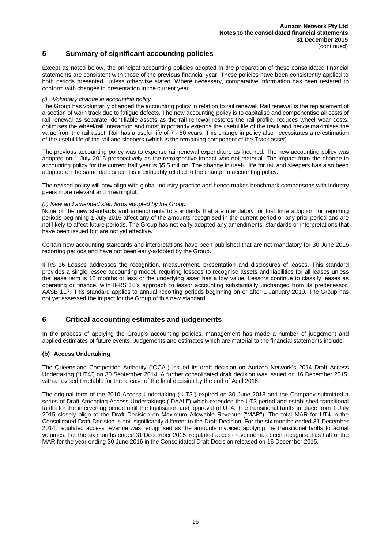## <span id="page-15-0"></span>**5 Summary of significant accounting policies**

Except as noted below, the principal accounting policies adopted in the preparation of these consolidated financial statements are consistent with those of the previous financial year. These policies have been consistently applied to both periods presented, unless otherwise stated. Where necessary, comparative information has been restated to conform with changes in presentation in the current year.

#### *(i) Voluntary change in accounting policy*

The Group has voluntarily changed the accounting policy in relation to rail renewal. Rail renewal is the replacement of a section of worn track due to fatigue defects. The new accounting policy is to capitalise and componentise all costs of rail renewal as separate identifiable assets as the rail renewal restores the rail profile, reduces wheel wear costs, optimises the wheel/rail interaction and most importantly extends the useful life of the track and hence maximises the value from the rail asset. Rail has a useful life of 7 - 50 years. This change in policy also necessitates a re-estimation of the useful life of the rail and sleepers (which is the remaining component of the Track asset).

The previous accounting policy was to expense rail renewal expenditure as incurred. The new accounting policy was adopted on 1 July 2015 prospectively as the retrospective impact was not material. The impact from the change in accounting policy for the current half year is \$5.5 million. The change in useful life for rail and sleepers has also been adopted on the same date since it is inextricably related to the change in accounting policy.

The revised policy will now align with global industry practice and hence makes benchmark comparisons with industry peers more relevant and meaningful.

#### *(ii) New and amended standards adopted by the Group*

None of the new standards and amendments to standards that are mandatory for first time adoption for reporting periods beginning 1 July 2015 affect any of the amounts recognised in the current period or any prior period and are not likely to affect future periods. The Group has not early-adopted any amendments, standards or interpretations that have been issued but are not yet effective.

Certain new accounting standards and interpretations have been published that are not mandatory for 30 June 2016 reporting periods and have not been early-adopted by the Group.

IFRS 16 *Leases* addresses the recognition, measurement, presentation and disclosures of leases. This standard provides a single lessee accounting model, requiring lessees to recognise assets and liabilities for all leases unless the lease term is 12 months or less or the underlying asset has a low value. Lessors continue to classify leases as operating or finance, with IFRS 16's approach to lessor accounting substantially unchanged from its predecessor, AASB 117. This standard applies to annual reporting periods beginning on or after 1 January 2019. The Group has not yet assessed the impact for the Group of this new standard.

### <span id="page-15-1"></span>**6 Critical accounting estimates and judgements**

In the process of applying the Group's accounting policies, management has made a number of judgement and applied estimates of future events. Judgements and estimates which are material to the financial statements include:

#### **(b) Access Undertaking**

The Queensland Competition Authority ("QCA") issued its draft decision on Aurizon Network's 2014 Draft Access Undertaking ("UT4") on 30 September 2014. A further consolidated draft decision was issued on 16 December 2015, with a revised timetable for the release of the final decision by the end of April 2016.

The original term of the 2010 Access Undertaking ("UT3") expired on 30 June 2013 and the Company submitted a series of Draft Amending Access Undertakings ("DAAU") which extended the UT3 period and established transitional tariffs for the intervening period until the finalisation and approval of UT4. The transitional tariffs in place from 1 July 2015 closely align to the Draft Decision on Maximum Allowable Revenue ("MAR"). The total MAR for UT4 in the Consolidated Draft Decision is not significantly different to the Draft Decision. For the six months ended 31 December 2014, regulated access revenue was recognised as the amounts invoiced applying the transitional tariffs to actual volumes. For the six months ended 31 December 2015, regulated access revenue has been recognised as half of the MAR for the year ending 30 June 2016 in the Consolidated Draft Decision released on 16 December 2015.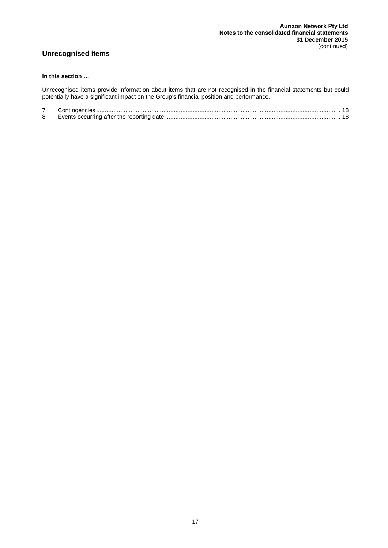## <span id="page-16-0"></span>**Unrecognised items**

#### **In this section …**

Unrecognised items provide information about items that are not recognised in the financial statements but could potentially have a significant impact on the Group's financial position and performance.

| 8 | Events occurring after the reporting date |  |
|---|-------------------------------------------|--|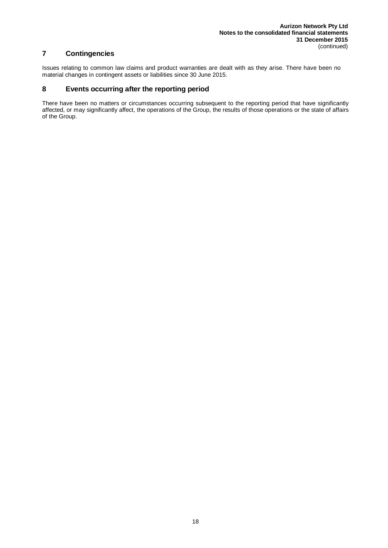## <span id="page-17-0"></span>**7 Contingencies**

Issues relating to common law claims and product warranties are dealt with as they arise. There have been no material changes in contingent assets or liabilities since 30 June 2015.

## <span id="page-17-1"></span>**8 Events occurring after the reporting period**

There have been no matters or circumstances occurring subsequent to the reporting period that have significantly affected, or may significantly affect, the operations of the Group, the results of those operations or the state of affairs of the Group.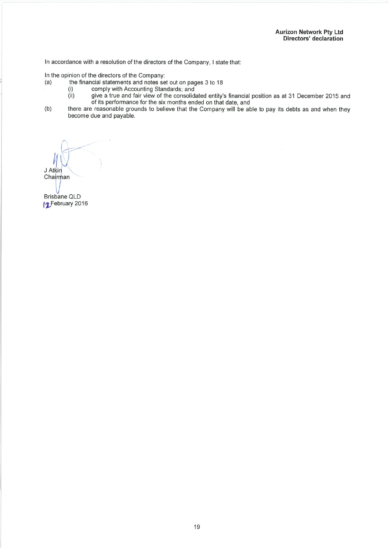In accordance with a resolution of the directors of the Company, I state that:

In the opinion of the directors of the Company:

- $(a)$ the financial statements and notes set out on pages 3 to 18
	- $(i)$
- comply with Accounting Standards; and<br>give a true and fair view of the consolidated entity's financial position as at 31 December 2015 and<br>of its performance for the six months ended on that date, and  $(ii)$
- there are reasonable grounds to believe that the Company will be able to pay its debts as and when they  $(b)$ become due and payable.

J Atkin Chairman

Brisbane QLD 12 February 2016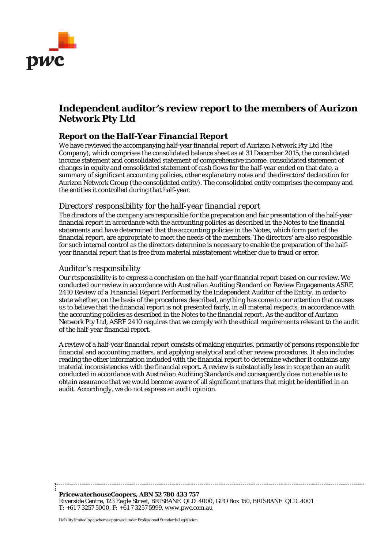<span id="page-19-0"></span>

## **Independent auditor's review report to the members of Aurizon Network Pty Ltd**

## *Report on the Half-Year Financial Report*

We have reviewed the accompanying half-year financial report of Aurizon Network Pty Ltd (the Company), which comprises the consolidated balance sheet as at 31 December 2015, the consolidated income statement and consolidated statement of comprehensive income, consolidated statement of changes in equity and consolidated statement of cash flows for the half-year ended on that date, a summary of significant accounting policies, other explanatory notes and the directors' declaration for Aurizon Network Group (the consolidated entity). The consolidated entity comprises the company and the entities it controlled during that half-year.

## *Directors' responsibility for the half-year financial report*

The directors of the company are responsible for the preparation and fair presentation of the half-year financial report in accordance with the accounting policies as described in the Notes to the financial statements and have determined that the accounting policies in the Notes, which form part of the financial report, are appropriate to meet the needs of the members. The directors' are also responsible for such internal control as the directors determine is necessary to enable the preparation of the halfyear financial report that is free from material misstatement whether due to fraud or error.

## *Auditor's responsibility*

Our responsibility is to express a conclusion on the half-year financial report based on our review. We conducted our review in accordance with Australian Auditing Standard on Review Engagements ASRE 2410 *Review of a Financial Report Performed by the Independent Auditor of the Entity*, in order to state whether, on the basis of the procedures described, anything has come to our attention that causes us to believe that the financial report is not presented fairly, in all material respects, in accordance with the accounting policies as described in the Notes to the financial report. As the auditor of Aurizon Network Pty Ltd, ASRE 2410 requires that we comply with the ethical requirements relevant to the audit of the half-year financial report.

A review of a half-year financial report consists of making enquiries, primarily of persons responsible for financial and accounting matters, and applying analytical and other review procedures. It also includes reading the other information included with the financial report to determine whether it contains any material inconsistencies with the financial report. A review is substantially less in scope than an audit conducted in accordance with Australian Auditing Standards and consequently does not enable us to obtain assurance that we would become aware of all significant matters that might be identified in an audit. Accordingly, we do not express an audit opinion.

*PricewaterhouseCoopers, ABN 52 780 433 757 Riverside Centre, 123 Eagle Street, BRISBANE QLD 4000, GPO Box 150, BRISBANE QLD 4001 T: +61 7 3257 5000, F: +61 7 3257 5999, www.pwc.com.au*